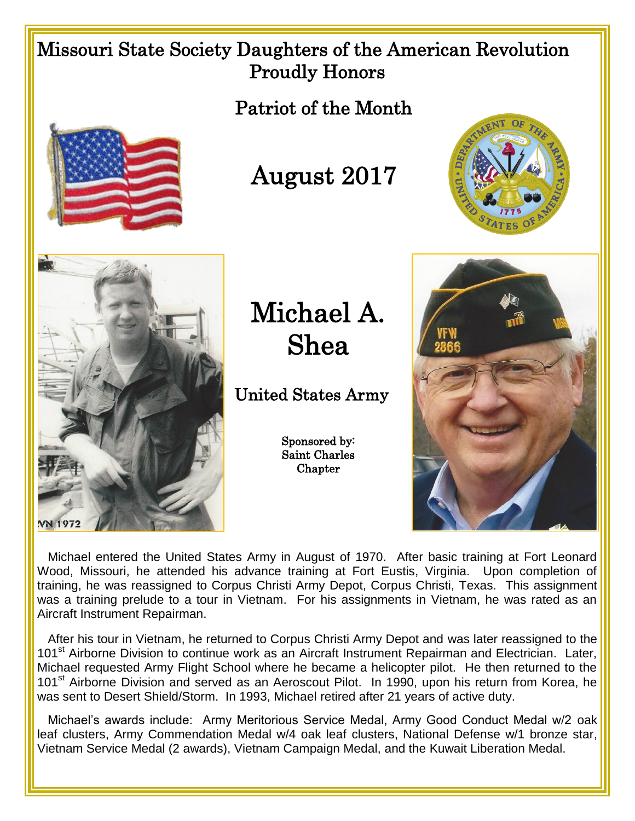## Missouri State Society Daughters of the American Revolution Proudly Honors

Patriot of the Month



August 2017





Michael A. Shea

United States Army

Sponsored by: Saint Charles **Chapter** 



 Michael entered the United States Army in August of 1970. After basic training at Fort Leonard Wood, Missouri, he attended his advance training at Fort Eustis, Virginia. Upon completion of training, he was reassigned to Corpus Christi Army Depot, Corpus Christi, Texas. This assignment was a training prelude to a tour in Vietnam. For his assignments in Vietnam, he was rated as an Aircraft Instrument Repairman.

 After his tour in Vietnam, he returned to Corpus Christi Army Depot and was later reassigned to the 101<sup>st</sup> Airborne Division to continue work as an Aircraft Instrument Repairman and Electrician. Later, Michael requested Army Flight School where he became a helicopter pilot. He then returned to the 101<sup>st</sup> Airborne Division and served as an Aeroscout Pilot. In 1990, upon his return from Korea, he was sent to Desert Shield/Storm. In 1993, Michael retired after 21 years of active duty.

 Michael's awards include: Army Meritorious Service Medal, Army Good Conduct Medal w/2 oak leaf clusters, Army Commendation Medal w/4 oak leaf clusters, National Defense w/1 bronze star, Vietnam Service Medal (2 awards), Vietnam Campaign Medal, and the Kuwait Liberation Medal.